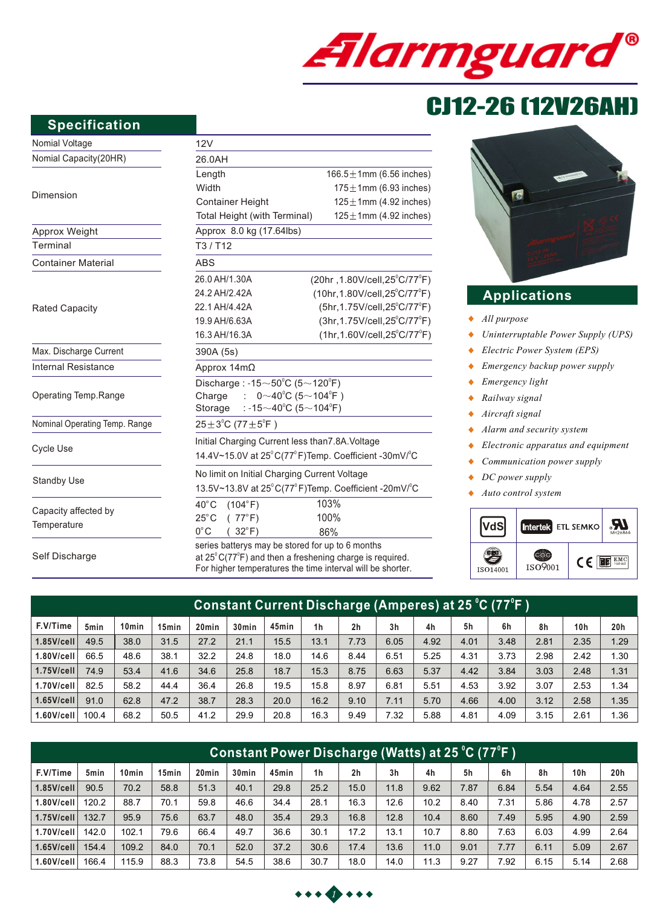

# CJ12-26 (12V26AH)

#### **Specification**

| <b>Specification</b>          |                                                                             |                                                                                                                                                                                                |  |  |  |  |  |  |
|-------------------------------|-----------------------------------------------------------------------------|------------------------------------------------------------------------------------------------------------------------------------------------------------------------------------------------|--|--|--|--|--|--|
| Nomial Voltage                | 12V                                                                         |                                                                                                                                                                                                |  |  |  |  |  |  |
| Nomial Capacity(20HR)         | 26.0AH                                                                      |                                                                                                                                                                                                |  |  |  |  |  |  |
|                               | Length                                                                      | 166.5 $\pm$ 1mm (6.56 inc                                                                                                                                                                      |  |  |  |  |  |  |
|                               | Width                                                                       | 175 $\pm$ 1mm (6.93 inc                                                                                                                                                                        |  |  |  |  |  |  |
| Dimension                     | <b>Container Height</b>                                                     | $125 \pm 1$ mm (4.92 inc                                                                                                                                                                       |  |  |  |  |  |  |
|                               | 125 $\pm$ 1mm (4.92 inc<br>Total Height (with Terminal)                     |                                                                                                                                                                                                |  |  |  |  |  |  |
| Approx Weight                 | Approx 8.0 kg (17.64lbs)                                                    |                                                                                                                                                                                                |  |  |  |  |  |  |
| Terminal                      | T3/ T12                                                                     |                                                                                                                                                                                                |  |  |  |  |  |  |
| <b>Container Material</b>     | <b>ABS</b>                                                                  |                                                                                                                                                                                                |  |  |  |  |  |  |
|                               | 26.0 AH/1.30A                                                               | (20hr, 1.80V/cell, 25°C/7                                                                                                                                                                      |  |  |  |  |  |  |
|                               | 24.2 AH/2.42A                                                               | (10hr, 1.80V/cell, 25°C/7                                                                                                                                                                      |  |  |  |  |  |  |
| <b>Rated Capacity</b>         | 22.1 AH/4.42A                                                               | (5hr, 1.75V/cell, 25°C/7                                                                                                                                                                       |  |  |  |  |  |  |
|                               | 19.9 AH/6.63A                                                               | (3hr, 1.75V/cell, 25°C/7                                                                                                                                                                       |  |  |  |  |  |  |
|                               | 16.3 AH/16.3A                                                               | $(1hr, 1.60V/cell, 25^{\circ}C/7)$                                                                                                                                                             |  |  |  |  |  |  |
| Max. Discharge Current        | 390A (5s)                                                                   |                                                                                                                                                                                                |  |  |  |  |  |  |
| <b>Internal Resistance</b>    | Approx $14mΩ$                                                               |                                                                                                                                                                                                |  |  |  |  |  |  |
|                               | Discharge: -15 $\sim$ 50°C (5 $\sim$ 120°F)                                 |                                                                                                                                                                                                |  |  |  |  |  |  |
| Operating Temp.Range          | $\therefore$ 0 $\sim$ 40 $^{\circ}$ C (5 $\sim$ 104 $^{\circ}$ F)<br>Charge |                                                                                                                                                                                                |  |  |  |  |  |  |
|                               | : -15 $\sim$ 40°C (5 $\sim$ 104°F)<br>Storage                               |                                                                                                                                                                                                |  |  |  |  |  |  |
| Nominal Operating Temp. Range | $25 \pm 3^{\circ}$ C (77 $\pm 5^{\circ}$ F)                                 |                                                                                                                                                                                                |  |  |  |  |  |  |
|                               | Initial Charging Current less than 7.8A. Voltage                            |                                                                                                                                                                                                |  |  |  |  |  |  |
| Cycle Use                     | 14.4V~15.0V at 25°C(77°F)Temp. Coefficient -30mV/°                          |                                                                                                                                                                                                |  |  |  |  |  |  |
|                               | No limit on Initial Charging Current Voltage                                |                                                                                                                                                                                                |  |  |  |  |  |  |
| <b>Standby Use</b>            | 13.5V~13.8V at 25°C(77°F)Temp. Coefficient -20mV/°                          |                                                                                                                                                                                                |  |  |  |  |  |  |
|                               | $40^{\circ}$ C<br>(104°F)                                                   | 103%                                                                                                                                                                                           |  |  |  |  |  |  |
| Capacity affected by          | (77°F)<br>$25^{\circ}$ C                                                    | 100%                                                                                                                                                                                           |  |  |  |  |  |  |
| Temperature                   | $0^{\circ}$ C<br>$(32^{\circ}F)$                                            | 86%                                                                                                                                                                                            |  |  |  |  |  |  |
| Self Discharge                |                                                                             | series batterys may be stored for up to 6 months<br>at $25^{\circ}$ C(77 $^{\circ}$ F) and then a freshening charge is required.<br>For higher temperatures the time interval will be shorter. |  |  |  |  |  |  |

| 166.5 $\pm$ 1mm (6.56 inches)<br>$175 \pm 1$ mm (6.93 inches)<br>$125 \pm 1$ mm (4.92 inches)<br>$125 \pm 1$ mm (4.92 inches)                                  |
|----------------------------------------------------------------------------------------------------------------------------------------------------------------|
|                                                                                                                                                                |
|                                                                                                                                                                |
|                                                                                                                                                                |
|                                                                                                                                                                |
|                                                                                                                                                                |
|                                                                                                                                                                |
| $(20hr, 1.80V/cell, 25^{\circ}C/77^{\circ}F)$<br>$(10hr, 1.80V/cell, 25^{\circ}C/77^{\circ}F)$<br>(5hr, 1.75V/cell, 25°C/77°F)<br>(3hr, 1.75V/cell, 25°C/77°F) |
|                                                                                                                                                                |
|                                                                                                                                                                |
|                                                                                                                                                                |
|                                                                                                                                                                |
| $(1hr, 1.60V/cell, 25^{\circ}C/77^{\circ}F)$                                                                                                                   |
|                                                                                                                                                                |
|                                                                                                                                                                |
| Discharge: -15 $\sim$ 50 $^{\circ}$ C (5 $\sim$ 120 $^{\circ}$ F)                                                                                              |
| $0~10^{0}$ C (5~104 <sup>°</sup> F)                                                                                                                            |
| : -15 $\sim$ 40 $^{\circ}$ C (5 $\sim$ 104 $^{\circ}$ F)                                                                                                       |
|                                                                                                                                                                |
| Initial Charging Current less than7.8A. Voltage                                                                                                                |
| 14.4V~15.0V at 25°C(77°F)Temp. Coefficient -30mV/°C                                                                                                            |
| No limit on Initial Charging Current Voltage                                                                                                                   |
| 13.5V~13.8V at 25°C(77°F)Temp. Coefficient -20mV/°C                                                                                                            |
| 103%                                                                                                                                                           |
| 100%                                                                                                                                                           |
| 86%                                                                                                                                                            |
| series batterys may be stored for up to 6 months                                                                                                               |



# **Applications**

- *All purpose*
- *Uninterruptable Power Supply (UPS)*  $\blacklozenge$
- *Electric Power System (EPS)*  $\ddot{\bullet}$
- $\blacklozenge$ *Emergency backup power supply*
- *Emergency light*   $\ddot{\bullet}$
- $\ddot{\bullet}$ *Railway signal*
- *Aircraft signal*  $\bullet$
- $\bullet$ *Alarm and security system*
- *Electronic apparatus and equipment*  $\bullet$
- *Communication power supply*  $\bullet$
- $\blacklozenge$ *DC power supply*
- *Auto control system*  $\blacklozenge$



| Constant Current Discharge (Amperes) at 25 °C (77°F )' |                  |                   |       |                   |                   |       |                |                |                |      |      |      |      |                 |      |
|--------------------------------------------------------|------------------|-------------------|-------|-------------------|-------------------|-------|----------------|----------------|----------------|------|------|------|------|-----------------|------|
| F.V/Time                                               | 5 <sub>min</sub> | 10 <sub>min</sub> | 15min | 20 <sub>min</sub> | 30 <sub>min</sub> | 45min | 1 <sub>h</sub> | 2 <sub>h</sub> | 3 <sub>h</sub> | 4h   | 5h   | 6h   | 8h   | 10 <sub>h</sub> | 20h  |
| $1.85$ V/cell                                          | 49.5             | 38.0              | 31.5  | 27.2              | 21.1              | 15.5  | 13.1           | 7.73           | 6.05           | 4.92 | 4.01 | 3.48 | 2.81 | 2.35            | 1.29 |
| $1.80$ V/cell                                          | 66.5             | 48.6              | 38.1  | 32.2              | 24.8              | 18.0  | 14.6           | 8.44           | 6.51           | 5.25 | 4.31 | 3.73 | 2.98 | 2.42            | 1.30 |
| $1.75$ V/cell                                          | 74.9             | 53.4              | 41.6  | 34.6              | 25.8              | 18.7  | 15.3           | 8.75           | 6.63           | 5.37 | 4.42 | 3.84 | 3.03 | 2.48            | 1.31 |
| $1.70$ V/cell                                          | 82.5             | 58.2              | 44.4  | 36.4              | 26.8              | 19.5  | 15.8           | 8.97           | 6.81           | 5.51 | 4.53 | 3.92 | 3.07 | 2.53            | 1.34 |
| $1.65$ V/cell                                          | 91.0             | 62.8              | 47.2  | 38.7              | 28.3              | 20.0  | 16.2           | 9.10           | 7.11           | 5.70 | 4.66 | 4.00 | 3.12 | 2.58            | 1.35 |
| $1.60$ V/cell                                          | 100.4            | 68.2              | 50.5  | 41.2              | 29.9              | 20.8  | 16.3           | 9.49           | 7.32           | 5.88 | 4.81 | 4.09 | 3.15 | 2.61            | .36، |

| Constant Power Discharge (Watts) at 25 °C (77°F ) |       |                   |                   |                   |                   |       |                |                |                |      |      |      |      |                 |                 |
|---------------------------------------------------|-------|-------------------|-------------------|-------------------|-------------------|-------|----------------|----------------|----------------|------|------|------|------|-----------------|-----------------|
| F.V/Time                                          | 5min  | 10 <sub>min</sub> | 15 <sub>min</sub> | 20 <sub>min</sub> | 30 <sub>min</sub> | 45min | 1 <sub>h</sub> | 2 <sub>h</sub> | 3 <sub>h</sub> | 4h   | 5h   | 6h   | 8h   | 10 <sub>h</sub> | 20 <sub>h</sub> |
| $1.85$ V/cell                                     | 90.5  | 70.2              | 58.8              | 51.3              | 40.1              | 29.8  | 25.2           | 15.0           | 11.8           | 9.62 | 7.87 | 6.84 | 5.54 | 4.64            | 2.55            |
| $1.80$ V/cell                                     | 120.2 | 88.7              | 70.1              | 59.8              | 46.6              | 34.4  | 28.1           | 16.3           | 12.6           | 10.2 | 8.40 | 7.31 | 5.86 | 4.78            | 2.57            |
| $1.75$ V/cell                                     | 132.7 | 95.9              | 75.6              | 63.7              | 48.0              | 35.4  | 29.3           | 16.8           | 12.8           | 10.4 | 8.60 | 7.49 | 5.95 | 4.90            | 2.59            |
| $1.70$ V/cell                                     | 142.0 | 102.1             | 79.6              | 66.4              | 49.7              | 36.6  | 30.1           | 17.2           | 13.1           | 10.7 | 8.80 | 7.63 | 6.03 | 4.99            | 2.64            |
| $1.65$ V/cell                                     | 154.4 | 109.2             | 84.0              | 70.1              | 52.0              | 37.2  | 30.6           | 17.4           | 13.6           | 11.0 | 9.01 | 7.77 | 6.11 | 5.09            | 2.67            |
| $1.60$ V/cell                                     | 166.4 | 115.9             | 88.3              | 73.8              | 54.5              | 38.6  | 30.7           | 18.0           | 14.0           | 11.3 | 9.27 | 7.92 | 6.15 | 5.14            | 2.68            |